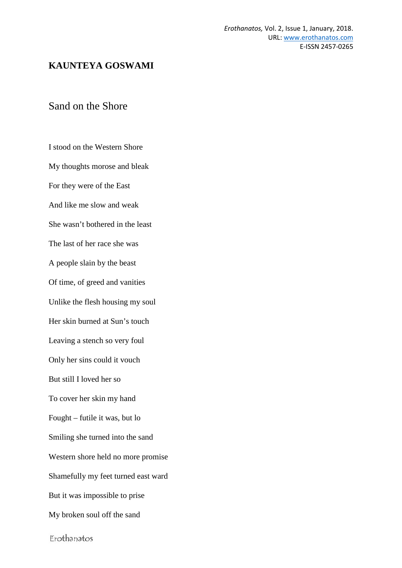## **KAUNTEYA GOSWAMI**

## Sand on the Shore

I stood on the Western Shore My thoughts morose and bleak For they were of the East And like me slow and weak She wasn't bothered in the least The last of her race she was A people slain by the beast Of time, of greed and vanities Unlike the flesh housing my soul Her skin burned at Sun's touch Leaving a stench so very foul Only her sins could it vouch But still I loved her so To cover her skin my hand Fought – futile it was, but lo Smiling she turned into the sand Western shore held no more promise Shamefully my feet turned east ward But it was impossible to prise My broken soul off the sand

Erothanatos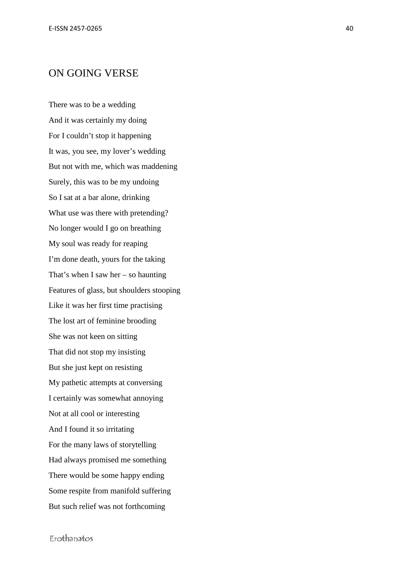## ON GOING VERSE

There was to be a wedding And it was certainly my doing For I couldn't stop it happening It was, you see, my lover's wedding But not with me, which was maddening Surely, this was to be my undoing So I sat at a bar alone, drinking What use was there with pretending? No longer would I go on breathing My soul was ready for reaping I'm done death, yours for the taking That's when I saw her – so haunting Features of glass, but shoulders stooping Like it was her first time practising The lost art of feminine brooding She was not keen on sitting That did not stop my insisting But she just kept on resisting My pathetic attempts at conversing I certainly was somewhat annoying Not at all cool or interesting And I found it so irritating For the many laws of storytelling Had always promised me something There would be some happy ending Some respite from manifold suffering But such relief was not forthcoming